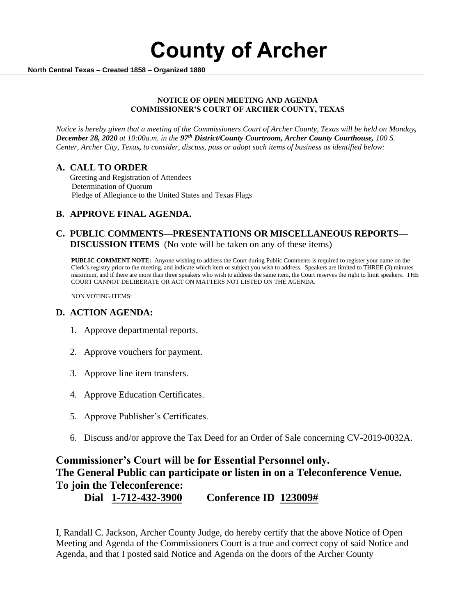**County of Archer** 

 **North Central Texas – Created 1858 – Organized 1880**

#### **NOTICE OF OPEN MEETING AND AGENDA COMMISSIONER'S COURT OF ARCHER COUNTY, TEXAS**

*Notice is hereby given that a meeting of the Commissioners Court of Archer County, Texas will be held on Monday, December 28, 2020 at 10:00a.m. in the 97th District/County Courtroom, Archer County Courthouse, 100 S. Center, Archer City, Texas, to consider, discuss, pass or adopt such items of business as identified below:*

### **A. CALL TO ORDER**

 Greeting and Registration of Attendees Determination of Quorum Pledge of Allegiance to the United States and Texas Flags

# **B. APPROVE FINAL AGENDA.**

## **C. PUBLIC COMMENTS—PRESENTATIONS OR MISCELLANEOUS REPORTS— DISCUSSION ITEMS** (No vote will be taken on any of these items)

**PUBLIC COMMENT NOTE:** Anyone wishing to address the Court during Public Comments is required to register your name on the Clerk's registry prior to the meeting, and indicate which item or subject you wish to address. Speakers are limited to THREE (3) minutes maximum, and if there are more than three speakers who wish to address the same item, the Court reserves the right to limit speakers. THE COURT CANNOT DELIBERATE OR ACT ON MATTERS NOT LISTED ON THE AGENDA.

NON VOTING ITEMS:

### **D. ACTION AGENDA:**

- 1. Approve departmental reports.
- 2. Approve vouchers for payment.
- 3. Approve line item transfers.
- 4. Approve Education Certificates.
- 5. Approve Publisher's Certificates.
- 6. Discuss and/or approve the Tax Deed for an Order of Sale concerning CV-2019-0032A.

# **Commissioner's Court will be for Essential Personnel only. The General Public can participate or listen in on a Teleconference Venue. To join the Teleconference: Dial 1-712-432-3900 Conference ID 123009#**

I, Randall C. Jackson, Archer County Judge, do hereby certify that the above Notice of Open Meeting and Agenda of the Commissioners Court is a true and correct copy of said Notice and Agenda, and that I posted said Notice and Agenda on the doors of the Archer County